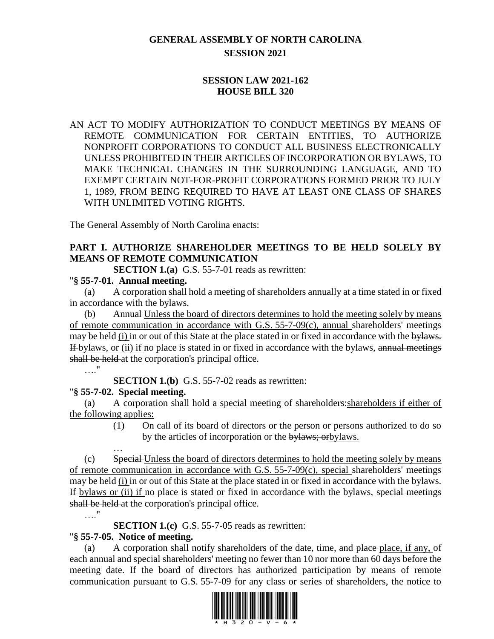# **GENERAL ASSEMBLY OF NORTH CAROLINA SESSION 2021**

### **SESSION LAW 2021-162 HOUSE BILL 320**

AN ACT TO MODIFY AUTHORIZATION TO CONDUCT MEETINGS BY MEANS OF REMOTE COMMUNICATION FOR CERTAIN ENTITIES, TO AUTHORIZE NONPROFIT CORPORATIONS TO CONDUCT ALL BUSINESS ELECTRONICALLY UNLESS PROHIBITED IN THEIR ARTICLES OF INCORPORATION OR BYLAWS, TO MAKE TECHNICAL CHANGES IN THE SURROUNDING LANGUAGE, AND TO EXEMPT CERTAIN NOT-FOR-PROFIT CORPORATIONS FORMED PRIOR TO JULY 1, 1989, FROM BEING REQUIRED TO HAVE AT LEAST ONE CLASS OF SHARES WITH UNLIMITED VOTING RIGHTS.

The General Assembly of North Carolina enacts:

# **PART I. AUTHORIZE SHAREHOLDER MEETINGS TO BE HELD SOLELY BY MEANS OF REMOTE COMMUNICATION**

**SECTION 1.(a)** G.S. 55-7-01 reads as rewritten:

#### "**§ 55-7-01. Annual meeting.**

(a) A corporation shall hold a meeting of shareholders annually at a time stated in or fixed in accordance with the bylaws.

(b) Annual Unless the board of directors determines to hold the meeting solely by means of remote communication in accordance with G.S. 55-7-09(c), annual shareholders' meetings may be held (i) in or out of this State at the place stated in or fixed in accordance with the bylaws. If bylaws, or (ii) if no place is stated in or fixed in accordance with the bylaws, annual meetings shall be held at the corporation's principal office.

…."

…."

**SECTION 1.(b)** G.S. 55-7-02 reads as rewritten:

# "**§ 55-7-02. Special meeting.**

(a) A corporation shall hold a special meeting of shareholders:shareholders if either of the following applies:

> (1) On call of its board of directors or the person or persons authorized to do so by the articles of incorporation or the bylaws; orbylaws.

… (c) Special Unless the board of directors determines to hold the meeting solely by means of remote communication in accordance with G.S. 55-7-09(c), special shareholders' meetings may be held (i) in or out of this State at the place stated in or fixed in accordance with the bylaws. If bylaws or (ii) if no place is stated or fixed in accordance with the bylaws, special meetings shall be held at the corporation's principal office.

**SECTION 1.(c)** G.S. 55-7-05 reads as rewritten:

# "**§ 55-7-05. Notice of meeting.**

(a) A corporation shall notify shareholders of the date, time, and place place, if any, of each annual and special shareholders' meeting no fewer than 10 nor more than 60 days before the meeting date. If the board of directors has authorized participation by means of remote communication pursuant to G.S. 55-7-09 for any class or series of shareholders, the notice to

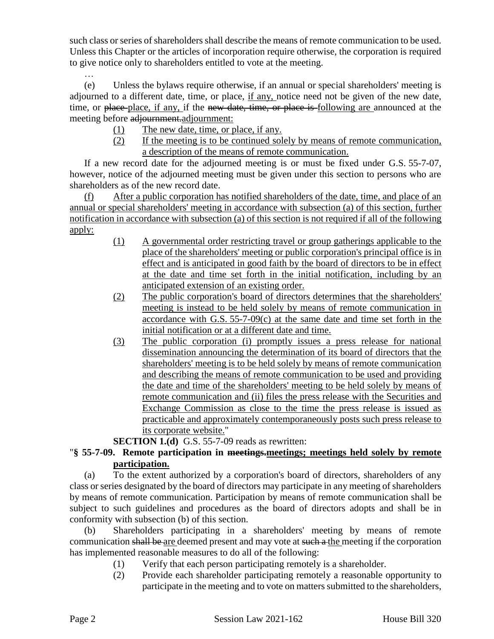such class or series of shareholders shall describe the means of remote communication to be used. Unless this Chapter or the articles of incorporation require otherwise, the corporation is required to give notice only to shareholders entitled to vote at the meeting.

… (e) Unless the bylaws require otherwise, if an annual or special shareholders' meeting is adjourned to a different date, time, or place, if any, notice need not be given of the new date, time, or place-place, if any, if the new date, time, or place is following are announced at the meeting before adjournment.adjournment:

- (1) The new <u>date, time, or place</u>, if any.
- (2) If the meeting is to be continued solely by means of remote communication, a description of the means of remote communication.

If a new record date for the adjourned meeting is or must be fixed under G.S. 55-7-07, however, notice of the adjourned meeting must be given under this section to persons who are shareholders as of the new record date.

(f) After a public corporation has notified shareholders of the date, time, and place of an annual or special shareholders' meeting in accordance with subsection (a) of this section, further notification in accordance with subsection (a) of this section is not required if all of the following apply:

- (1) A governmental order restricting travel or group gatherings applicable to the place of the shareholders' meeting or public corporation's principal office is in effect and is anticipated in good faith by the board of directors to be in effect at the date and time set forth in the initial notification, including by an anticipated extension of an existing order.
- (2) The public corporation's board of directors determines that the shareholders' meeting is instead to be held solely by means of remote communication in accordance with G.S. 55-7-09(c) at the same date and time set forth in the initial notification or at a different date and time.
- (3) The public corporation (i) promptly issues a press release for national dissemination announcing the determination of its board of directors that the shareholders' meeting is to be held solely by means of remote communication and describing the means of remote communication to be used and providing the date and time of the shareholders' meeting to be held solely by means of remote communication and (ii) files the press release with the Securities and Exchange Commission as close to the time the press release is issued as practicable and approximately contemporaneously posts such press release to its corporate website."

**SECTION 1.(d)** G.S. 55-7-09 reads as rewritten:

### "**§ 55-7-09. Remote participation in meetings.meetings; meetings held solely by remote participation.**

(a) To the extent authorized by a corporation's board of directors, shareholders of any class or series designated by the board of directors may participate in any meeting of shareholders by means of remote communication. Participation by means of remote communication shall be subject to such guidelines and procedures as the board of directors adopts and shall be in conformity with subsection (b) of this section.

(b) Shareholders participating in a shareholders' meeting by means of remote communication shall be are deemed present and may vote at such a the meeting if the corporation has implemented reasonable measures to do all of the following:

- (1) Verify that each person participating remotely is a shareholder.
- (2) Provide each shareholder participating remotely a reasonable opportunity to participate in the meeting and to vote on matters submitted to the shareholders,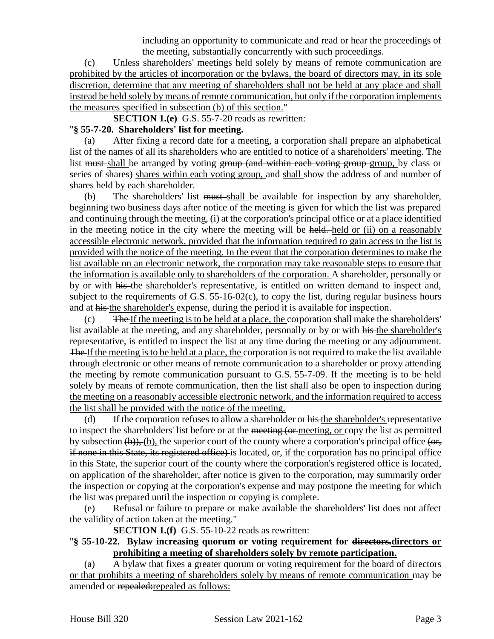including an opportunity to communicate and read or hear the proceedings of the meeting, substantially concurrently with such proceedings.

(c) Unless shareholders' meetings held solely by means of remote communication are prohibited by the articles of incorporation or the bylaws, the board of directors may, in its sole discretion, determine that any meeting of shareholders shall not be held at any place and shall instead be held solely by means of remote communication, but only if the corporation implements the measures specified in subsection (b) of this section."

**SECTION 1.(e)** G.S. 55-7-20 reads as rewritten:

#### "**§ 55-7-20. Shareholders' list for meeting.**

(a) After fixing a record date for a meeting, a corporation shall prepare an alphabetical list of the names of all its shareholders who are entitled to notice of a shareholders' meeting. The list must-shall be arranged by voting group (and within each voting group group, by class or series of shares) shares within each voting group, and shall show the address of and number of shares held by each shareholder.

 $(b)$  The shareholders' list  $\frac{m}{b}$  shall be available for inspection by any shareholder, beginning two business days after notice of the meeting is given for which the list was prepared and continuing through the meeting, (i) at the corporation's principal office or at a place identified in the meeting notice in the city where the meeting will be held. held or (ii) on a reasonably accessible electronic network, provided that the information required to gain access to the list is provided with the notice of the meeting. In the event that the corporation determines to make the list available on an electronic network, the corporation may take reasonable steps to ensure that the information is available only to shareholders of the corporation. A shareholder, personally or by or with his the shareholder's representative, is entitled on written demand to inspect and, subject to the requirements of G.S. 55-16-02(c), to copy the list, during regular business hours and at his the shareholder's expense, during the period it is available for inspection.

(c) The If the meeting is to be held at a place, the corporation shall make the shareholders' list available at the meeting, and any shareholder, personally or by or with his the shareholder's representative, is entitled to inspect the list at any time during the meeting or any adjournment. The If the meeting is to be held at a place, the corporation is not required to make the list available through electronic or other means of remote communication to a shareholder or proxy attending the meeting by remote communication pursuant to G.S. 55-7-09. If the meeting is to be held solely by means of remote communication, then the list shall also be open to inspection during the meeting on a reasonably accessible electronic network, and the information required to access the list shall be provided with the notice of the meeting.

(d) If the corporation refuses to allow a shareholder or his the shareholder's representative to inspect the shareholders' list before or at the meeting (or meeting, or copy the list as permitted by subsection  $(\theta)$ , (b), the superior court of the county where a corporation's principal office  $(\theta)$ , if none in this State, its registered office) is located, or, if the corporation has no principal office in this State, the superior court of the county where the corporation's registered office is located, on application of the shareholder, after notice is given to the corporation, may summarily order the inspection or copying at the corporation's expense and may postpone the meeting for which the list was prepared until the inspection or copying is complete.

(e) Refusal or failure to prepare or make available the shareholders' list does not affect the validity of action taken at the meeting."

**SECTION 1.(f)** G.S. 55-10-22 reads as rewritten:

#### "**§ 55-10-22. Bylaw increasing quorum or voting requirement for directors.directors or prohibiting a meeting of shareholders solely by remote participation.**

(a) A bylaw that fixes a greater quorum or voting requirement for the board of directors or that prohibits a meeting of shareholders solely by means of remote communication may be amended or repealed:repealed as follows: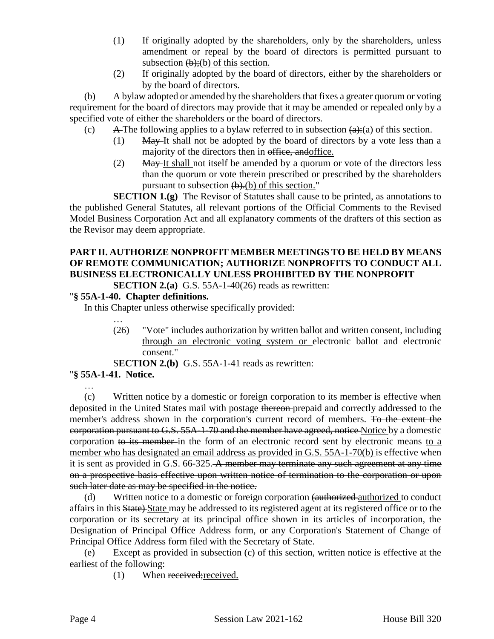- (1) If originally adopted by the shareholders, only by the shareholders, unless amendment or repeal by the board of directors is permitted pursuant to subsection  $(b)$ ;(b) of this section.
- (2) If originally adopted by the board of directors, either by the shareholders or by the board of directors.

(b) A bylaw adopted or amended by the shareholders that fixes a greater quorum or voting requirement for the board of directors may provide that it may be amended or repealed only by a specified vote of either the shareholders or the board of directors.

(c) A The following applies to a bylaw referred to in subsection  $(a):(a)$  of this section.

- (1) May It shall not be adopted by the board of directors by a vote less than a majority of the directors then in office, and office.
	- (2) May It shall not itself be amended by a quorum or vote of the directors less than the quorum or vote therein prescribed or prescribed by the shareholders pursuant to subsection  $(b)$ . $(b)$  of this section."

**SECTION 1.(g)** The Revisor of Statutes shall cause to be printed, as annotations to the published General Statutes, all relevant portions of the Official Comments to the Revised Model Business Corporation Act and all explanatory comments of the drafters of this section as the Revisor may deem appropriate.

# **PART II. AUTHORIZE NONPROFIT MEMBER MEETINGS TO BE HELD BY MEANS OF REMOTE COMMUNICATION; AUTHORIZE NONPROFITS TO CONDUCT ALL BUSINESS ELECTRONICALLY UNLESS PROHIBITED BY THE NONPROFIT**

**SECTION 2.(a)** G.S. 55A-1-40(26) reads as rewritten:

# "**§ 55A-1-40. Chapter definitions.**

In this Chapter unless otherwise specifically provided:

- … (26) "Vote" includes authorization by written ballot and written consent, including through an electronic voting system or electronic ballot and electronic consent."
- S**ECTION 2.(b)** G.S. 55A-1-41 reads as rewritten:

# "**§ 55A-1-41. Notice.**

…

(c) Written notice by a domestic or foreign corporation to its member is effective when deposited in the United States mail with postage thereon prepaid and correctly addressed to the member's address shown in the corporation's current record of members. To the extent the corporation pursuant to G.S. 55A-1-70 and the member have agreed, notice Notice by a domestic corporation to its member in the form of an electronic record sent by electronic means to a member who has designated an email address as provided in G.S. 55A-1-70(b) is effective when it is sent as provided in G.S. 66-325. A member may terminate any such agreement at any time on a prospective basis effective upon written notice of termination to the corporation or upon such later date as may be specified in the notice.

(d) Written notice to a domestic or foreign corporation (authorized authorized to conduct affairs in this State) State may be addressed to its registered agent at its registered office or to the corporation or its secretary at its principal office shown in its articles of incorporation, the Designation of Principal Office Address form, or any Corporation's Statement of Change of Principal Office Address form filed with the Secretary of State.

(e) Except as provided in subsection (c) of this section, written notice is effective at the earliest of the following:

(1) When received;received.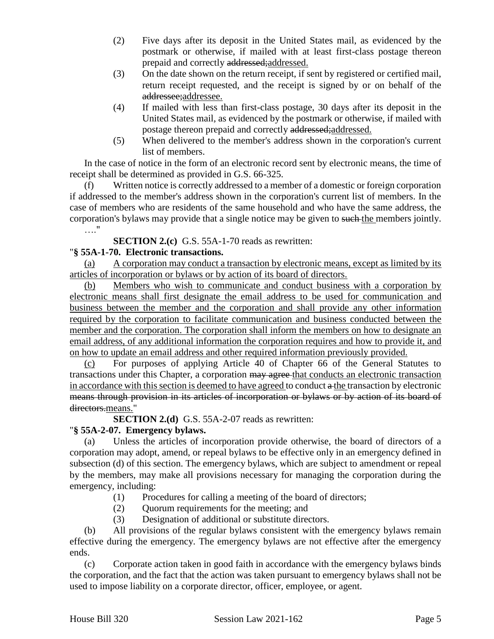- (2) Five days after its deposit in the United States mail, as evidenced by the postmark or otherwise, if mailed with at least first-class postage thereon prepaid and correctly addressed;addressed.
- (3) On the date shown on the return receipt, if sent by registered or certified mail, return receipt requested, and the receipt is signed by or on behalf of the addressee;addressee.
- (4) If mailed with less than first-class postage, 30 days after its deposit in the United States mail, as evidenced by the postmark or otherwise, if mailed with postage thereon prepaid and correctly addressed;addressed.
- (5) When delivered to the member's address shown in the corporation's current list of members.

In the case of notice in the form of an electronic record sent by electronic means, the time of receipt shall be determined as provided in G.S. 66-325.

(f) Written notice is correctly addressed to a member of a domestic or foreign corporation if addressed to the member's address shown in the corporation's current list of members. In the case of members who are residents of the same household and who have the same address, the corporation's bylaws may provide that a single notice may be given to such the members jointly. …."

**SECTION 2.(c)** G.S. 55A-1-70 reads as rewritten:

#### "**§ 55A-1-70. Electronic transactions.**

(a) A corporation may conduct a transaction by electronic means, except as limited by its articles of incorporation or bylaws or by action of its board of directors.

(b) Members who wish to communicate and conduct business with a corporation by electronic means shall first designate the email address to be used for communication and business between the member and the corporation and shall provide any other information required by the corporation to facilitate communication and business conducted between the member and the corporation. The corporation shall inform the members on how to designate an email address, of any additional information the corporation requires and how to provide it, and on how to update an email address and other required information previously provided.

(c) For purposes of applying Article 40 of Chapter 66 of the General Statutes to transactions under this Chapter, a corporation may agree that conducts an electronic transaction in accordance with this section is deemed to have agreed to conduct a the transaction by electronic means through provision in its articles of incorporation or bylaws or by action of its board of directors.means."

**SECTION 2.(d)** G.S. 55A-2-07 reads as rewritten:

#### "**§ 55A-2-07. Emergency bylaws.**

(a) Unless the articles of incorporation provide otherwise, the board of directors of a corporation may adopt, amend, or repeal bylaws to be effective only in an emergency defined in subsection (d) of this section. The emergency bylaws, which are subject to amendment or repeal by the members, may make all provisions necessary for managing the corporation during the emergency, including:

- (1) Procedures for calling a meeting of the board of directors;
- (2) Quorum requirements for the meeting; and
- (3) Designation of additional or substitute directors.

(b) All provisions of the regular bylaws consistent with the emergency bylaws remain effective during the emergency. The emergency bylaws are not effective after the emergency ends.

(c) Corporate action taken in good faith in accordance with the emergency bylaws binds the corporation, and the fact that the action was taken pursuant to emergency bylaws shall not be used to impose liability on a corporate director, officer, employee, or agent.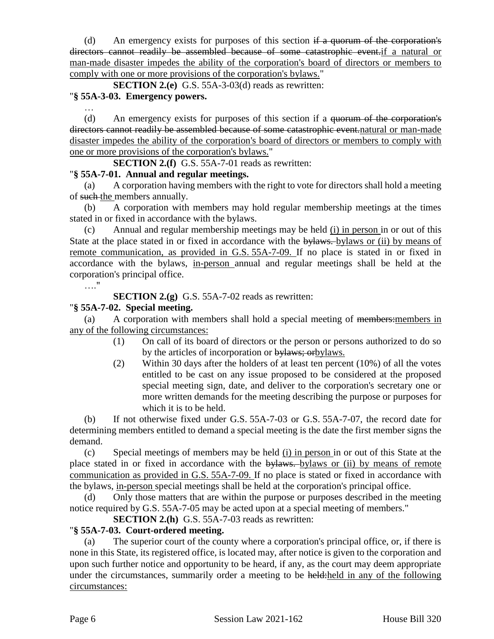(d) An emergency exists for purposes of this section  $\overline{a}$  a quorum of the corporation's directors cannot readily be assembled because of some catastrophic event.if a natural or man-made disaster impedes the ability of the corporation's board of directors or members to comply with one or more provisions of the corporation's bylaws."

**SECTION 2.(e)** G.S. 55A-3-03(d) reads as rewritten:

# "**§ 55A-3-03. Emergency powers.**

…

(d) An emergency exists for purposes of this section if a quorum of the corporation's directors cannot readily be assembled because of some catastrophic event natural or man-made disaster impedes the ability of the corporation's board of directors or members to comply with one or more provisions of the corporation's bylaws."

**SECTION 2.(f)** G.S. 55A-7-01 reads as rewritten:

#### "**§ 55A-7-01. Annual and regular meetings.**

(a) A corporation having members with the right to vote for directors shall hold a meeting of such the members annually.

(b) A corporation with members may hold regular membership meetings at the times stated in or fixed in accordance with the bylaws.

(c) Annual and regular membership meetings may be held (i) in person in or out of this State at the place stated in or fixed in accordance with the bylaws. bylaws or (ii) by means of remote communication, as provided in G.S. 55A-7-09. If no place is stated in or fixed in accordance with the bylaws, in-person annual and regular meetings shall be held at the corporation's principal office.

…."

**SECTION 2.(g)** G.S. 55A-7-02 reads as rewritten:

#### "**§ 55A-7-02. Special meeting.**

(a) A corporation with members shall hold a special meeting of members:members in any of the following circumstances:

- (1) On call of its board of directors or the person or persons authorized to do so by the articles of incorporation or bylaws; or by laws.
- (2) Within 30 days after the holders of at least ten percent (10%) of all the votes entitled to be cast on any issue proposed to be considered at the proposed special meeting sign, date, and deliver to the corporation's secretary one or more written demands for the meeting describing the purpose or purposes for which it is to be held.

(b) If not otherwise fixed under G.S. 55A-7-03 or G.S. 55A-7-07, the record date for determining members entitled to demand a special meeting is the date the first member signs the demand.

(c) Special meetings of members may be held (i) in person in or out of this State at the place stated in or fixed in accordance with the bylaws. bylaws or (ii) by means of remote communication as provided in G.S. 55A-7-09. If no place is stated or fixed in accordance with the bylaws, in-person special meetings shall be held at the corporation's principal office.

(d) Only those matters that are within the purpose or purposes described in the meeting notice required by G.S. 55A-7-05 may be acted upon at a special meeting of members."

**SECTION 2.(h)** G.S. 55A-7-03 reads as rewritten:

### "**§ 55A-7-03. Court-ordered meeting.**

(a) The superior court of the county where a corporation's principal office, or, if there is none in this State, its registered office, is located may, after notice is given to the corporation and upon such further notice and opportunity to be heard, if any, as the court may deem appropriate under the circumstances, summarily order a meeting to be held:held in any of the following circumstances: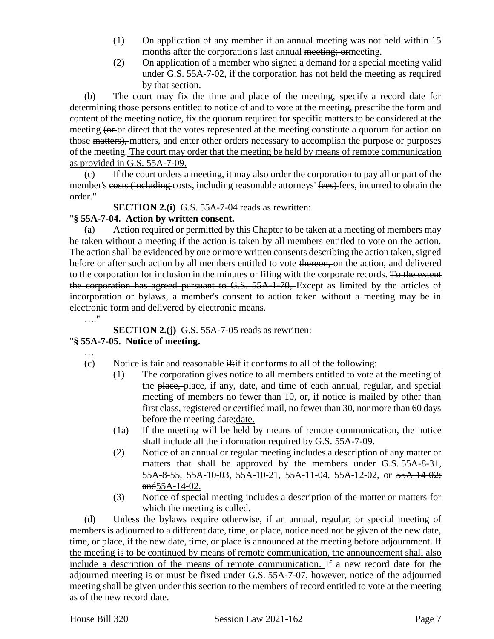- (1) On application of any member if an annual meeting was not held within 15 months after the corporation's last annual meeting; ormeeting.
- (2) On application of a member who signed a demand for a special meeting valid under G.S. 55A-7-02, if the corporation has not held the meeting as required by that section.

(b) The court may fix the time and place of the meeting, specify a record date for determining those persons entitled to notice of and to vote at the meeting, prescribe the form and content of the meeting notice, fix the quorum required for specific matters to be considered at the meeting (or or direct that the votes represented at the meeting constitute a quorum for action on those matters), matters, and enter other orders necessary to accomplish the purpose or purposes of the meeting. The court may order that the meeting be held by means of remote communication as provided in G.S. 55A-7-09.

(c) If the court orders a meeting, it may also order the corporation to pay all or part of the member's costs (including costs, including reasonable attorneys' fees) fees, incurred to obtain the order."

**SECTION 2.(i)** G.S. 55A-7-04 reads as rewritten:

#### "**§ 55A-7-04. Action by written consent.**

(a) Action required or permitted by this Chapter to be taken at a meeting of members may be taken without a meeting if the action is taken by all members entitled to vote on the action. The action shall be evidenced by one or more written consents describing the action taken, signed before or after such action by all members entitled to vote thereon, on the action, and delivered to the corporation for inclusion in the minutes or filing with the corporate records. To the extent the corporation has agreed pursuant to G.S. 55A-1-70, Except as limited by the articles of incorporation or bylaws, a member's consent to action taken without a meeting may be in electronic form and delivered by electronic means.

…."

**SECTION 2.(j)** G.S. 55A-7-05 reads as rewritten:

#### "**§ 55A-7-05. Notice of meeting.**

…

- (c) Notice is fair and reasonable  $\frac{d}{dt}$  if it conforms to all of the following:
	- (1) The corporation gives notice to all members entitled to vote at the meeting of the place, place, if any, date, and time of each annual, regular, and special meeting of members no fewer than 10, or, if notice is mailed by other than first class, registered or certified mail, no fewer than 30, nor more than 60 days before the meeting date: date.
	- (1a) If the meeting will be held by means of remote communication, the notice shall include all the information required by G.S. 55A-7-09.
	- (2) Notice of an annual or regular meeting includes a description of any matter or matters that shall be approved by the members under G.S. 55A-8-31, 55A-8-55, 55A-10-03, 55A-10-21, 55A-11-04, 55A-12-02, or 55A-14-02; and55A-14-02.
	- (3) Notice of special meeting includes a description of the matter or matters for which the meeting is called.

(d) Unless the bylaws require otherwise, if an annual, regular, or special meeting of members is adjourned to a different date, time, or place, notice need not be given of the new date, time, or place, if the new date, time, or place is announced at the meeting before adjournment. If the meeting is to be continued by means of remote communication, the announcement shall also include a description of the means of remote communication. If a new record date for the adjourned meeting is or must be fixed under G.S. 55A-7-07, however, notice of the adjourned meeting shall be given under this section to the members of record entitled to vote at the meeting as of the new record date.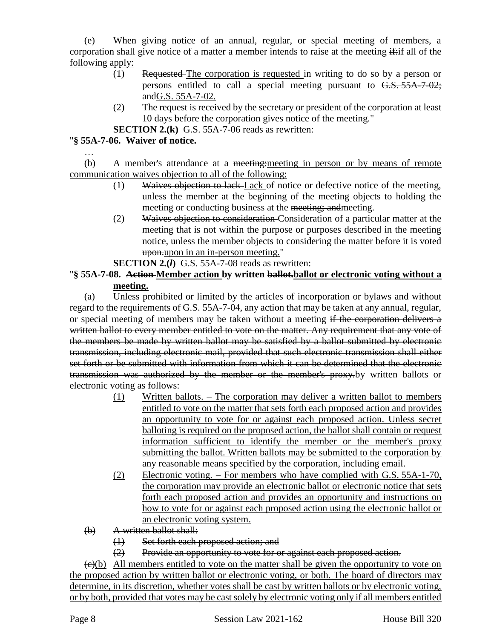(e) When giving notice of an annual, regular, or special meeting of members, a corporation shall give notice of a matter a member intends to raise at the meeting  $\frac{d}{dt}$  all of the following apply:

- (1) Requested The corporation is requested in writing to do so by a person or persons entitled to call a special meeting pursuant to G.S. 55A-7-02; andG.S. 55A-7-02.
- (2) The request is received by the secretary or president of the corporation at least 10 days before the corporation gives notice of the meeting."
- **SECTION 2.(k)** G.S. 55A-7-06 reads as rewritten:

### "**§ 55A-7-06. Waiver of notice.**

…

(b) A member's attendance at a <del>meeting: meeting</del> in person or by means of remote communication waives objection to all of the following:

- (1) Waives objection to lack-Lack of notice or defective notice of the meeting, unless the member at the beginning of the meeting objects to holding the meeting or conducting business at the meeting; andmeeting.
- (2) Waives objection to consideration Consideration of a particular matter at the meeting that is not within the purpose or purposes described in the meeting notice, unless the member objects to considering the matter before it is voted upon.upon in an in-person meeting."

#### **SECTION 2.(***l***)** G.S. 55A-7-08 reads as rewritten:

### "**§ 55A-7-08. Action Member action by written ballot.ballot or electronic voting without a meeting.**

(a) Unless prohibited or limited by the articles of incorporation or bylaws and without regard to the requirements of G.S. 55A-7-04, any action that may be taken at any annual, regular, or special meeting of members may be taken without a meeting if the corporation delivers a written ballot to every member entitled to vote on the matter. Any requirement that any vote of the members be made by written ballot may be satisfied by a ballot submitted by electronic transmission, including electronic mail, provided that such electronic transmission shall either set forth or be submitted with information from which it can be determined that the electronic transmission was authorized by the member or the member's proxy.by written ballots or electronic voting as follows:

- (1) Written ballots. The corporation may deliver a written ballot to members entitled to vote on the matter that sets forth each proposed action and provides an opportunity to vote for or against each proposed action. Unless secret balloting is required on the proposed action, the ballot shall contain or request information sufficient to identify the member or the member's proxy submitting the ballot. Written ballots may be submitted to the corporation by any reasonable means specified by the corporation, including email.
- (2) Electronic voting. For members who have complied with G.S. 55A-1-70, the corporation may provide an electronic ballot or electronic notice that sets forth each proposed action and provides an opportunity and instructions on how to vote for or against each proposed action using the electronic ballot or an electronic voting system.
- (b) A written ballot shall:
	- (1) Set forth each proposed action; and
	- (2) Provide an opportunity to vote for or against each proposed action.

 $\left(\frac{c}{c}\right)$  All members entitled to vote on the matter shall be given the opportunity to vote on the proposed action by written ballot or electronic voting, or both. The board of directors may determine, in its discretion, whether votes shall be cast by written ballots or by electronic voting, or by both, provided that votes may be cast solely by electronic voting only if all members entitled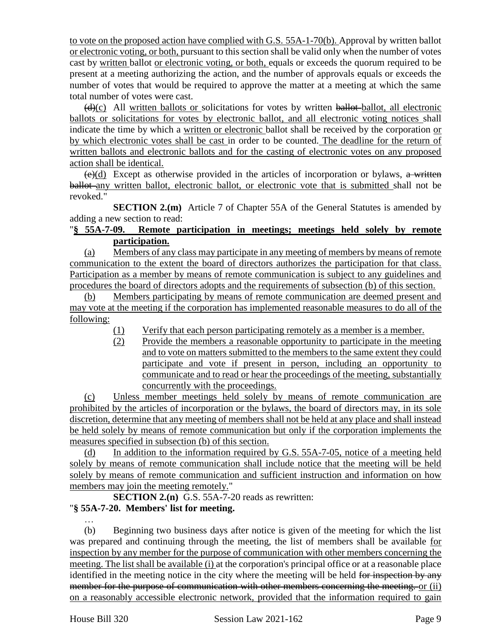to vote on the proposed action have complied with G.S. 55A-1-70(b). Approval by written ballot or electronic voting, or both, pursuant to this section shall be valid only when the number of votes cast by written ballot or electronic voting, or both, equals or exceeds the quorum required to be present at a meeting authorizing the action, and the number of approvals equals or exceeds the number of votes that would be required to approve the matter at a meeting at which the same total number of votes were cast.

 $(d)(c)$  All written ballots or solicitations for votes by written ballot-ballot, all electronic ballots or solicitations for votes by electronic ballot, and all electronic voting notices shall indicate the time by which a written or electronic ballot shall be received by the corporation or by which electronic votes shall be cast in order to be counted. The deadline for the return of written ballots and electronic ballots and for the casting of electronic votes on any proposed action shall be identical.

 $(e)(d)$  Except as otherwise provided in the articles of incorporation or bylaws, a written ballot-any written ballot, electronic ballot, or electronic vote that is submitted shall not be revoked."

**SECTION 2.(m)** Article 7 of Chapter 55A of the General Statutes is amended by adding a new section to read:

#### "**§ 55A-7-09. Remote participation in meetings; meetings held solely by remote participation.**

(a) Members of any class may participate in any meeting of members by means of remote communication to the extent the board of directors authorizes the participation for that class. Participation as a member by means of remote communication is subject to any guidelines and procedures the board of directors adopts and the requirements of subsection (b) of this section.

(b) Members participating by means of remote communication are deemed present and may vote at the meeting if the corporation has implemented reasonable measures to do all of the following:

(1) Verify that each person participating remotely as a member is a member.

(2) Provide the members a reasonable opportunity to participate in the meeting and to vote on matters submitted to the members to the same extent they could participate and vote if present in person, including an opportunity to communicate and to read or hear the proceedings of the meeting, substantially concurrently with the proceedings.

(c) Unless member meetings held solely by means of remote communication are prohibited by the articles of incorporation or the bylaws, the board of directors may, in its sole discretion, determine that any meeting of members shall not be held at any place and shall instead be held solely by means of remote communication but only if the corporation implements the measures specified in subsection (b) of this section.

(d) In addition to the information required by G.S. 55A-7-05, notice of a meeting held solely by means of remote communication shall include notice that the meeting will be held solely by means of remote communication and sufficient instruction and information on how members may join the meeting remotely."

**SECTION 2.(n)** G.S. 55A-7-20 reads as rewritten:

#### "**§ 55A-7-20. Members' list for meeting.**

… (b) Beginning two business days after notice is given of the meeting for which the list was prepared and continuing through the meeting, the list of members shall be available for inspection by any member for the purpose of communication with other members concerning the meeting. The list shall be available (i) at the corporation's principal office or at a reasonable place identified in the meeting notice in the city where the meeting will be held for inspection by any member for the purpose of communication with other members concerning the meeting. or (ii) on a reasonably accessible electronic network, provided that the information required to gain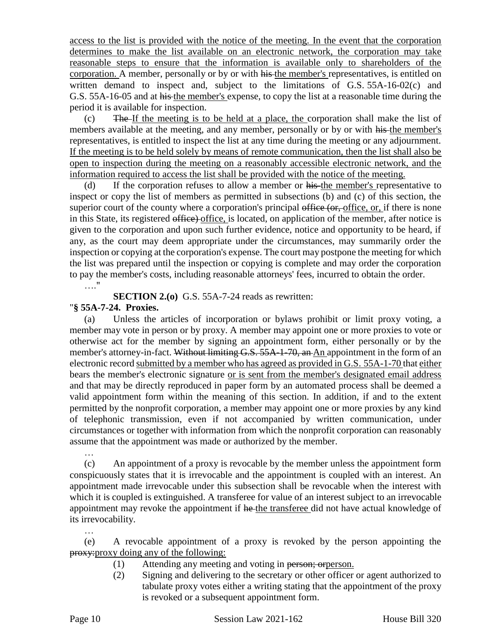access to the list is provided with the notice of the meeting. In the event that the corporation determines to make the list available on an electronic network, the corporation may take reasonable steps to ensure that the information is available only to shareholders of the corporation. A member, personally or by or with his the member's representatives, is entitled on written demand to inspect and, subject to the limitations of G.S. 55A-16-02(c) and G.S. 55A-16-05 and at his the member's expense, to copy the list at a reasonable time during the period it is available for inspection.

 $(c)$  The If the meeting is to be held at a place, the corporation shall make the list of members available at the meeting, and any member, personally or by or with his the member's representatives, is entitled to inspect the list at any time during the meeting or any adjournment. If the meeting is to be held solely by means of remote communication, then the list shall also be open to inspection during the meeting on a reasonably accessible electronic network, and the information required to access the list shall be provided with the notice of the meeting.

(d) If the corporation refuses to allow a member or his the member's representative to inspect or copy the list of members as permitted in subsections (b) and (c) of this section, the superior court of the county where a corporation's principal office (or, office, or, if there is none in this State, its registered office) office, is located, on application of the member, after notice is given to the corporation and upon such further evidence, notice and opportunity to be heard, if any, as the court may deem appropriate under the circumstances, may summarily order the inspection or copying at the corporation's expense. The court may postpone the meeting for which the list was prepared until the inspection or copying is complete and may order the corporation to pay the member's costs, including reasonable attorneys' fees, incurred to obtain the order.

…."

**SECTION 2.(o)** G.S. 55A-7-24 reads as rewritten:

#### "**§ 55A-7-24. Proxies.**

(a) Unless the articles of incorporation or bylaws prohibit or limit proxy voting, a member may vote in person or by proxy. A member may appoint one or more proxies to vote or otherwise act for the member by signing an appointment form, either personally or by the member's attorney-in-fact. Without limiting G.S. 55A-1-70, an An appointment in the form of an electronic record submitted by a member who has agreed as provided in G.S. 55A-1-70 that either bears the member's electronic signature or is sent from the member's designated email address and that may be directly reproduced in paper form by an automated process shall be deemed a valid appointment form within the meaning of this section. In addition, if and to the extent permitted by the nonprofit corporation, a member may appoint one or more proxies by any kind of telephonic transmission, even if not accompanied by written communication, under circumstances or together with information from which the nonprofit corporation can reasonably assume that the appointment was made or authorized by the member.

(c) An appointment of a proxy is revocable by the member unless the appointment form conspicuously states that it is irrevocable and the appointment is coupled with an interest. An appointment made irrevocable under this subsection shall be revocable when the interest with which it is coupled is extinguished. A transferee for value of an interest subject to an irrevocable appointment may revoke the appointment if he the transferee did not have actual knowledge of its irrevocability.

(e) A revocable appointment of a proxy is revoked by the person appointing the proxy:proxy doing any of the following:

- (1) Attending any meeting and voting in person; orperson.
- (2) Signing and delivering to the secretary or other officer or agent authorized to tabulate proxy votes either a writing stating that the appointment of the proxy is revoked or a subsequent appointment form.

…

…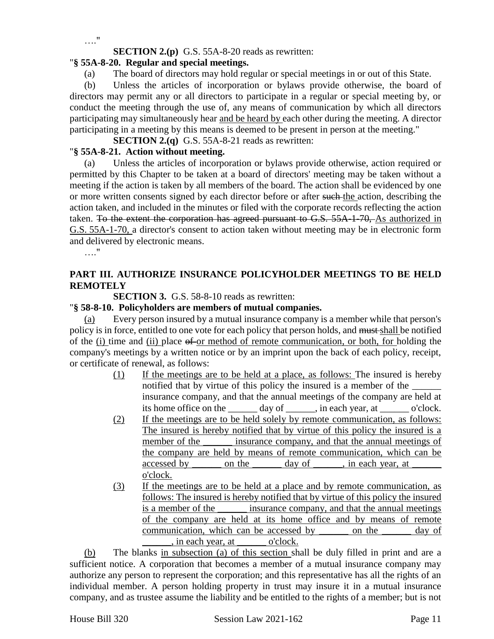…."

**SECTION 2.(p)** G.S. 55A-8-20 reads as rewritten:

### "**§ 55A-8-20. Regular and special meetings.**

(a) The board of directors may hold regular or special meetings in or out of this State.

(b) Unless the articles of incorporation or bylaws provide otherwise, the board of directors may permit any or all directors to participate in a regular or special meeting by, or conduct the meeting through the use of, any means of communication by which all directors participating may simultaneously hear and be heard by each other during the meeting. A director participating in a meeting by this means is deemed to be present in person at the meeting."

**SECTION 2.(q)** G.S. 55A-8-21 reads as rewritten:

#### "**§ 55A-8-21. Action without meeting.**

(a) Unless the articles of incorporation or bylaws provide otherwise, action required or permitted by this Chapter to be taken at a board of directors' meeting may be taken without a meeting if the action is taken by all members of the board. The action shall be evidenced by one or more written consents signed by each director before or after such the action, describing the action taken, and included in the minutes or filed with the corporate records reflecting the action taken. To the extent the corporation has agreed pursuant to G.S. 55A-1-70, As authorized in G.S. 55A-1-70, a director's consent to action taken without meeting may be in electronic form and delivered by electronic means.

…."

### **PART III. AUTHORIZE INSURANCE POLICYHOLDER MEETINGS TO BE HELD REMOTELY**

**SECTION 3.** G.S. 58-8-10 reads as rewritten:

#### "**§ 58-8-10. Policyholders are members of mutual companies.**

Every person insured by a mutual insurance company is a member while that person's policy is in force, entitled to one vote for each policy that person holds, and must shall be notified of the (i) time and (ii) place of or method of remote communication, or both, for holding the company's meetings by a written notice or by an imprint upon the back of each policy, receipt, or certificate of renewal, as follows:

- (1) If the meetings are to be held at a place, as follows: The insured is hereby notified that by virtue of this policy the insured is a member of the insurance company, and that the annual meetings of the company are held at its home office on the day of \_\_\_\_\_, in each year, at \_\_\_\_\_\_\_ o'clock.
- (2) If the meetings are to be held solely by remote communication, as follows: The insured is hereby notified that by virtue of this policy the insured is a member of the same insurance company, and that the annual meetings of the company are held by means of remote communication, which can be accessed by \_\_\_\_\_\_\_ on the  $\qquad$  day of \_\_\_\_\_, in each year, at o'clock.
- (3) If the meetings are to be held at a place and by remote communication, as follows: The insured is hereby notified that by virtue of this policy the insured is a member of the \_\_\_\_\_\_ insurance company, and that the annual meetings of the company are held at its home office and by means of remote communication, which can be accessed by \_\_\_\_\_\_ on the \_\_\_\_\_\_ day of  $\sin$  each year, at  $\qquad$  o'clock.

(b) The blanks in subsection (a) of this section shall be duly filled in print and are a sufficient notice. A corporation that becomes a member of a mutual insurance company may authorize any person to represent the corporation; and this representative has all the rights of an individual member. A person holding property in trust may insure it in a mutual insurance company, and as trustee assume the liability and be entitled to the rights of a member; but is not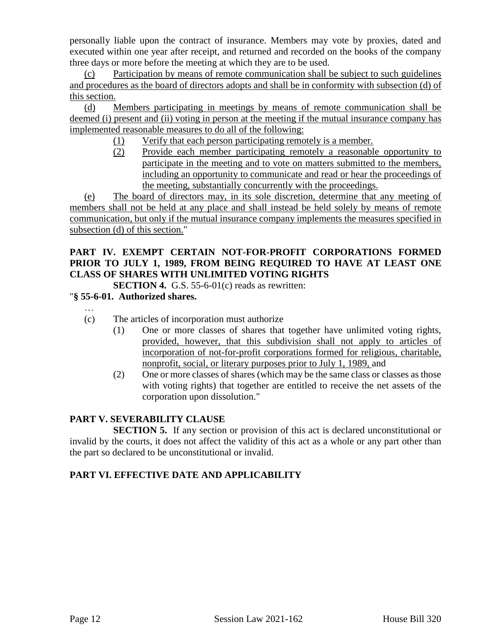personally liable upon the contract of insurance. Members may vote by proxies, dated and executed within one year after receipt, and returned and recorded on the books of the company three days or more before the meeting at which they are to be used.

(c) Participation by means of remote communication shall be subject to such guidelines and procedures as the board of directors adopts and shall be in conformity with subsection (d) of this section.

(d) Members participating in meetings by means of remote communication shall be deemed (i) present and (ii) voting in person at the meeting if the mutual insurance company has implemented reasonable measures to do all of the following:

- (1) Verify that each person participating remotely is a member.
- (2) Provide each member participating remotely a reasonable opportunity to participate in the meeting and to vote on matters submitted to the members, including an opportunity to communicate and read or hear the proceedings of the meeting, substantially concurrently with the proceedings.

(e) The board of directors may, in its sole discretion, determine that any meeting of members shall not be held at any place and shall instead be held solely by means of remote communication, but only if the mutual insurance company implements the measures specified in subsection (d) of this section."

### **PART IV. EXEMPT CERTAIN NOT-FOR-PROFIT CORPORATIONS FORMED PRIOR TO JULY 1, 1989, FROM BEING REQUIRED TO HAVE AT LEAST ONE CLASS OF SHARES WITH UNLIMITED VOTING RIGHTS**

**SECTION 4.** G.S. 55-6-01(c) reads as rewritten:

### "**§ 55-6-01. Authorized shares.**

- …
- (c) The articles of incorporation must authorize
	- (1) One or more classes of shares that together have unlimited voting rights, provided, however, that this subdivision shall not apply to articles of incorporation of not-for-profit corporations formed for religious, charitable, nonprofit, social, or literary purposes prior to July 1, 1989, and
	- (2) One or more classes of shares (which may be the same class or classes as those with voting rights) that together are entitled to receive the net assets of the corporation upon dissolution."

#### **PART V. SEVERABILITY CLAUSE**

**SECTION 5.** If any section or provision of this act is declared unconstitutional or invalid by the courts, it does not affect the validity of this act as a whole or any part other than the part so declared to be unconstitutional or invalid.

# **PART VI. EFFECTIVE DATE AND APPLICABILITY**